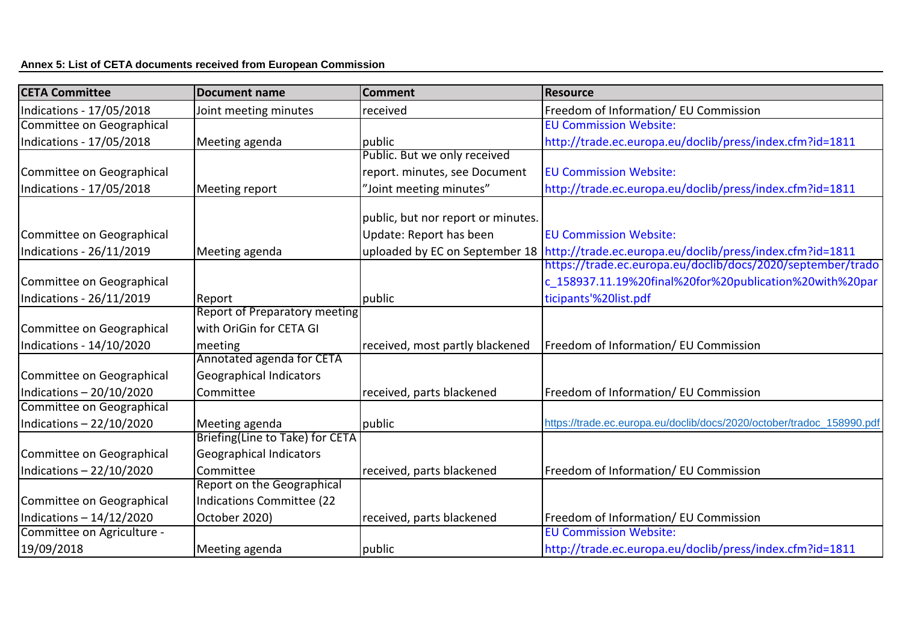| <b>CETA Committee</b>      | <b>Document name</b>                 | <b>Comment</b>                     | Resource                                                                                |
|----------------------------|--------------------------------------|------------------------------------|-----------------------------------------------------------------------------------------|
| Indications - 17/05/2018   | Joint meeting minutes                | received                           | Freedom of Information/ EU Commission                                                   |
| Committee on Geographical  |                                      |                                    | <b>EU Commission Website:</b>                                                           |
| Indications - 17/05/2018   | Meeting agenda                       | public                             | http://trade.ec.europa.eu/doclib/press/index.cfm?id=1811                                |
|                            |                                      | Public. But we only received       |                                                                                         |
| Committee on Geographical  |                                      | report. minutes, see Document      | <b>EU Commission Website:</b>                                                           |
| Indications - 17/05/2018   | Meeting report                       | "Joint meeting minutes"            | http://trade.ec.europa.eu/doclib/press/index.cfm?id=1811                                |
|                            |                                      |                                    |                                                                                         |
|                            |                                      | public, but nor report or minutes. |                                                                                         |
| Committee on Geographical  |                                      | Update: Report has been            | <b>EU Commission Website:</b>                                                           |
| Indications - 26/11/2019   | Meeting agenda                       |                                    | uploaded by EC on September 18 http://trade.ec.europa.eu/doclib/press/index.cfm?id=1811 |
|                            |                                      |                                    | https://trade.ec.europa.eu/doclib/docs/2020/september/trado                             |
| Committee on Geographical  |                                      |                                    | c_158937.11.19%20final%20for%20publication%20with%20par                                 |
| Indications - 26/11/2019   | Report                               | public                             | ticipants'%20list.pdf                                                                   |
|                            | <b>Report of Preparatory meeting</b> |                                    |                                                                                         |
| Committee on Geographical  | with OriGin for CETA GI              |                                    |                                                                                         |
| Indications - 14/10/2020   | meeting                              | received, most partly blackened    | Freedom of Information/ EU Commission                                                   |
|                            | Annotated agenda for CETA            |                                    |                                                                                         |
| Committee on Geographical  | Geographical Indicators              |                                    |                                                                                         |
| Indications - 20/10/2020   | Committee                            | received, parts blackened          | Freedom of Information/ EU Commission                                                   |
| Committee on Geographical  |                                      |                                    |                                                                                         |
| Indications - 22/10/2020   | Meeting agenda                       | public                             | https://trade.ec.europa.eu/doclib/docs/2020/october/tradoc 158990.pdf                   |
|                            | Briefing(Line to Take) for CETA      |                                    |                                                                                         |
| Committee on Geographical  | Geographical Indicators              |                                    |                                                                                         |
| Indications - 22/10/2020   | Committee                            | received, parts blackened          | Freedom of Information/ EU Commission                                                   |
|                            | Report on the Geographical           |                                    |                                                                                         |
| Committee on Geographical  | Indications Committee (22            |                                    |                                                                                         |
| Indications $-14/12/2020$  | October 2020)                        | received, parts blackened          | Freedom of Information/ EU Commission                                                   |
| Committee on Agriculture - |                                      |                                    | <b>EU Commission Website:</b>                                                           |
| 19/09/2018                 | Meeting agenda                       | public                             | http://trade.ec.europa.eu/doclib/press/index.cfm?id=1811                                |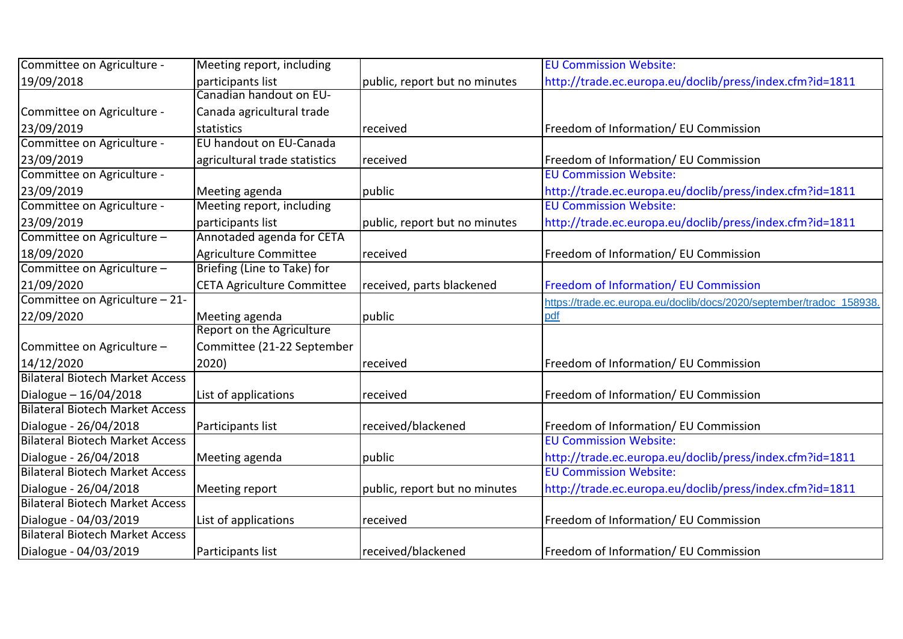| Committee on Agriculture -             | Meeting report, including         |                               | <b>EU Commission Website:</b>                                        |
|----------------------------------------|-----------------------------------|-------------------------------|----------------------------------------------------------------------|
| 19/09/2018                             | participants list                 | public, report but no minutes | http://trade.ec.europa.eu/doclib/press/index.cfm?id=1811             |
|                                        | Canadian handout on EU-           |                               |                                                                      |
| Committee on Agriculture -             | Canada agricultural trade         |                               |                                                                      |
| 23/09/2019                             | statistics                        | received                      | Freedom of Information/ EU Commission                                |
| Committee on Agriculture -             | EU handout on EU-Canada           |                               |                                                                      |
| 23/09/2019                             | agricultural trade statistics     | received                      | Freedom of Information/ EU Commission                                |
| Committee on Agriculture -             |                                   |                               | <b>EU Commission Website:</b>                                        |
| 23/09/2019                             | Meeting agenda                    | public                        | http://trade.ec.europa.eu/doclib/press/index.cfm?id=1811             |
| Committee on Agriculture -             | Meeting report, including         |                               | <b>EU Commission Website:</b>                                        |
| 23/09/2019                             | participants list                 | public, report but no minutes | http://trade.ec.europa.eu/doclib/press/index.cfm?id=1811             |
| Committee on Agriculture -             | Annotaded agenda for CETA         |                               |                                                                      |
| 18/09/2020                             | Agriculture Committee             | received                      | Freedom of Information/ EU Commission                                |
| Committee on Agriculture -             | Briefing (Line to Take) for       |                               |                                                                      |
| 21/09/2020                             | <b>CETA Agriculture Committee</b> | received, parts blackened     | <b>Freedom of Information/ EU Commission</b>                         |
| Committee on Agriculture - 21-         |                                   |                               | https://trade.ec.europa.eu/doclib/docs/2020/september/tradoc 158938. |
| 22/09/2020                             | Meeting agenda                    | public                        | pdf                                                                  |
|                                        | Report on the Agriculture         |                               |                                                                      |
| Committee on Agriculture -             | Committee (21-22 September        |                               |                                                                      |
| 14/12/2020                             | 2020)                             | received                      | Freedom of Information/ EU Commission                                |
| <b>Bilateral Biotech Market Access</b> |                                   |                               |                                                                      |
| Dialogue - 16/04/2018                  | List of applications              | received                      | Freedom of Information/ EU Commission                                |
| <b>Bilateral Biotech Market Access</b> |                                   |                               |                                                                      |
| Dialogue - 26/04/2018                  | Participants list                 | received/blackened            | Freedom of Information/ EU Commission                                |
| <b>Bilateral Biotech Market Access</b> |                                   |                               | <b>EU Commission Website:</b>                                        |
| Dialogue - 26/04/2018                  | Meeting agenda                    | public                        | http://trade.ec.europa.eu/doclib/press/index.cfm?id=1811             |
| <b>Bilateral Biotech Market Access</b> |                                   |                               | <b>EU Commission Website:</b>                                        |
| Dialogue - 26/04/2018                  | Meeting report                    | public, report but no minutes | http://trade.ec.europa.eu/doclib/press/index.cfm?id=1811             |
| <b>Bilateral Biotech Market Access</b> |                                   |                               |                                                                      |
| Dialogue - 04/03/2019                  | List of applications              | received                      | Freedom of Information/ EU Commission                                |
| <b>Bilateral Biotech Market Access</b> |                                   |                               |                                                                      |
| Dialogue - 04/03/2019                  | Participants list                 | received/blackened            | Freedom of Information/ EU Commission                                |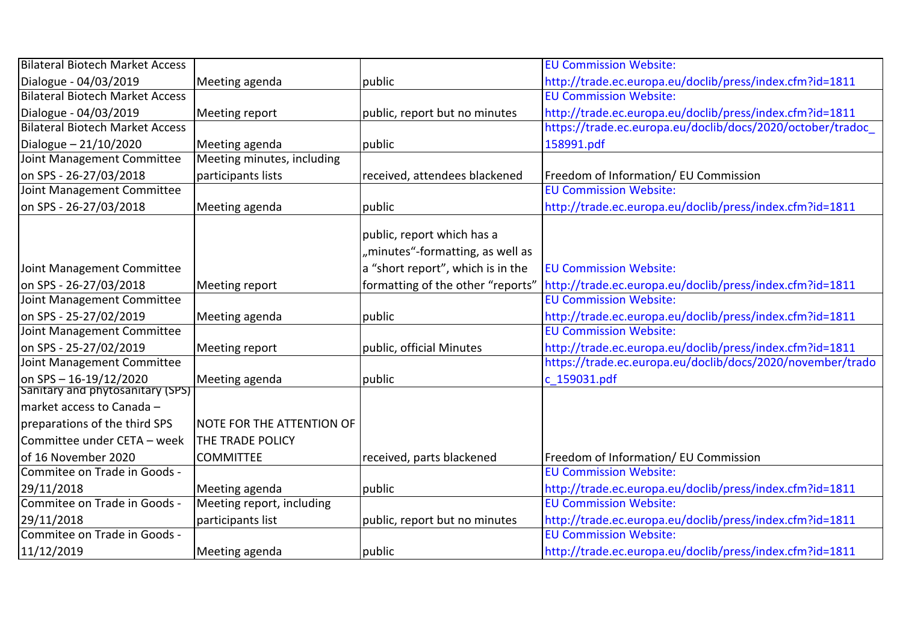| <b>Bilateral Biotech Market Access</b> |                                  |                                   | <b>EU Commission Website:</b>                              |
|----------------------------------------|----------------------------------|-----------------------------------|------------------------------------------------------------|
| Dialogue - 04/03/2019                  | Meeting agenda                   | public                            | http://trade.ec.europa.eu/doclib/press/index.cfm?id=1811   |
| <b>Bilateral Biotech Market Access</b> |                                  |                                   | <b>EU Commission Website:</b>                              |
| Dialogue - 04/03/2019                  | Meeting report                   | public, report but no minutes     | http://trade.ec.europa.eu/doclib/press/index.cfm?id=1811   |
| <b>Bilateral Biotech Market Access</b> |                                  |                                   | https://trade.ec.europa.eu/doclib/docs/2020/october/tradoc |
| Dialogue $-21/10/2020$                 | Meeting agenda                   | public                            | 158991.pdf                                                 |
| Joint Management Committee             | Meeting minutes, including       |                                   |                                                            |
| on SPS - 26-27/03/2018                 | participants lists               | received, attendees blackened     | Freedom of Information/ EU Commission                      |
| Joint Management Committee             |                                  |                                   | <b>EU Commission Website:</b>                              |
| on SPS - 26-27/03/2018                 | Meeting agenda                   | public                            | http://trade.ec.europa.eu/doclib/press/index.cfm?id=1811   |
|                                        |                                  | public, report which has a        |                                                            |
|                                        |                                  | "minutes"-formatting, as well as  |                                                            |
| Joint Management Committee             |                                  | a "short report", which is in the | <b>EU Commission Website:</b>                              |
| on SPS - 26-27/03/2018                 | Meeting report                   | formatting of the other "reports" | http://trade.ec.europa.eu/doclib/press/index.cfm?id=1811   |
| Joint Management Committee             |                                  |                                   | <b>EU Commission Website:</b>                              |
| on SPS - 25-27/02/2019                 | Meeting agenda                   | public                            | http://trade.ec.europa.eu/doclib/press/index.cfm?id=1811   |
| Joint Management Committee             |                                  |                                   | <b>EU Commission Website:</b>                              |
| on SPS - 25-27/02/2019                 | Meeting report                   | public, official Minutes          | http://trade.ec.europa.eu/doclib/press/index.cfm?id=1811   |
| Joint Management Committee             |                                  |                                   | https://trade.ec.europa.eu/doclib/docs/2020/november/trado |
| on SPS - 16-19/12/2020                 | Meeting agenda                   | public                            | c 159031.pdf                                               |
| Sanitary and phytosanitary (SPS)       |                                  |                                   |                                                            |
| lmarket access to Canada –             |                                  |                                   |                                                            |
| preparations of the third SPS          | <b>NOTE FOR THE ATTENTION OF</b> |                                   |                                                            |
| Committee under CETA - week            | <b>THE TRADE POLICY</b>          |                                   |                                                            |
| of 16 November 2020                    | <b>COMMITTEE</b>                 | received, parts blackened         | Freedom of Information/ EU Commission                      |
| Commitee on Trade in Goods -           |                                  |                                   | <b>EU Commission Website:</b>                              |
| 29/11/2018                             | Meeting agenda                   | public                            | http://trade.ec.europa.eu/doclib/press/index.cfm?id=1811   |
| Commitee on Trade in Goods -           | Meeting report, including        |                                   | <b>EU Commission Website:</b>                              |
| 29/11/2018                             | participants list                | public, report but no minutes     | http://trade.ec.europa.eu/doclib/press/index.cfm?id=1811   |
| Commitee on Trade in Goods -           |                                  |                                   | <b>EU Commission Website:</b>                              |
| 11/12/2019                             | Meeting agenda                   | public                            | http://trade.ec.europa.eu/doclib/press/index.cfm?id=1811   |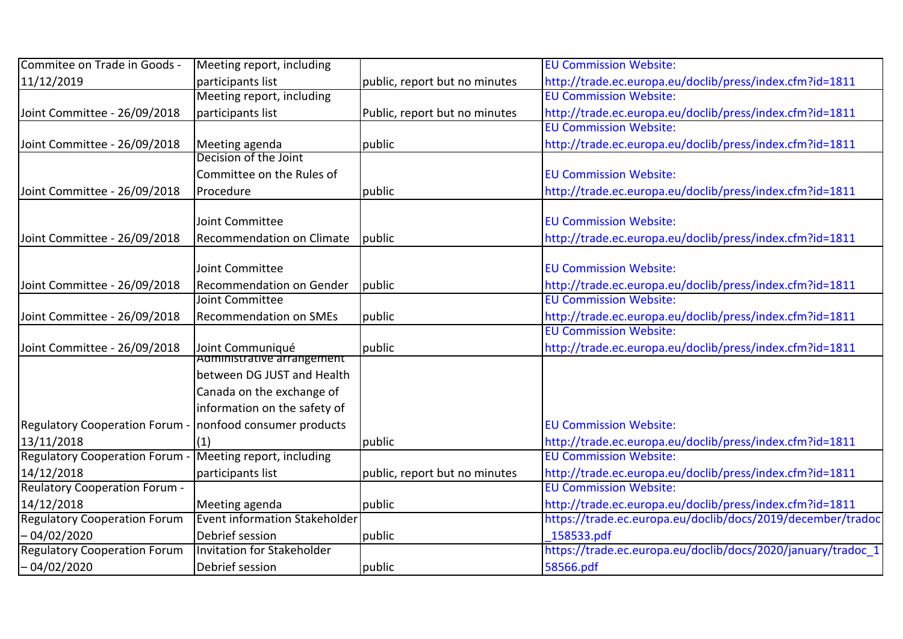| Commitee on Trade in Goods -                             | Meeting report, including                      |                               | <b>EU Commission Website:</b>                                |
|----------------------------------------------------------|------------------------------------------------|-------------------------------|--------------------------------------------------------------|
| 11/12/2019                                               | participants list                              | public, report but no minutes | http://trade.ec.europa.eu/doclib/press/index.cfm?id=1811     |
|                                                          | Meeting report, including                      |                               | <b>EU Commission Website:</b>                                |
| Joint Committee - 26/09/2018                             | participants list                              | Public, report but no minutes | http://trade.ec.europa.eu/doclib/press/index.cfm?id=1811     |
|                                                          |                                                |                               | <b>EU Commission Website:</b>                                |
| Joint Committee - 26/09/2018                             | Meeting agenda                                 | public                        | http://trade.ec.europa.eu/doclib/press/index.cfm?id=1811     |
|                                                          | Decision of the Joint                          |                               |                                                              |
|                                                          | Committee on the Rules of                      |                               | <b>EU Commission Website:</b>                                |
| Joint Committee - 26/09/2018                             | Procedure                                      | public                        | http://trade.ec.europa.eu/doclib/press/index.cfm?id=1811     |
|                                                          | Joint Committee                                |                               | <b>EU Commission Website:</b>                                |
|                                                          |                                                |                               |                                                              |
| Joint Committee - 26/09/2018                             | Recommendation on Climate                      | public                        | http://trade.ec.europa.eu/doclib/press/index.cfm?id=1811     |
|                                                          | Joint Committee                                |                               | <b>EU Commission Website:</b>                                |
| Joint Committee - 26/09/2018                             | <b>Recommendation on Gender</b>                | public                        | http://trade.ec.europa.eu/doclib/press/index.cfm?id=1811     |
|                                                          | Joint Committee                                |                               | <b>EU Commission Website:</b>                                |
| Joint Committee - 26/09/2018                             | <b>Recommendation on SMEs</b>                  | public                        | http://trade.ec.europa.eu/doclib/press/index.cfm?id=1811     |
|                                                          |                                                |                               | <b>EU Commission Website:</b>                                |
| Joint Committee - 26/09/2018                             |                                                | public                        | http://trade.ec.europa.eu/doclib/press/index.cfm?id=1811     |
|                                                          | Joint Communiqué<br>Administrative arrangement |                               |                                                              |
|                                                          | between DG JUST and Health                     |                               |                                                              |
|                                                          | Canada on the exchange of                      |                               |                                                              |
|                                                          | information on the safety of                   |                               |                                                              |
| Regulatory Cooperation Forum - nonfood consumer products |                                                |                               | <b>EU Commission Website:</b>                                |
| 13/11/2018                                               | (1)                                            | public                        | http://trade.ec.europa.eu/doclib/press/index.cfm?id=1811     |
| Regulatory Cooperation Forum - Meeting report, including |                                                |                               | <b>EU Commission Website:</b>                                |
| 14/12/2018                                               | participants list                              | public, report but no minutes | http://trade.ec.europa.eu/doclib/press/index.cfm?id=1811     |
| <b>Reulatory Cooperation Forum -</b>                     |                                                |                               | <b>EU Commission Website:</b>                                |
| 14/12/2018                                               | Meeting agenda                                 | public                        | http://trade.ec.europa.eu/doclib/press/index.cfm?id=1811     |
| <b>Regulatory Cooperation Forum</b>                      | <b>Event information Stakeholder</b>           |                               | https://trade.ec.europa.eu/doclib/docs/2019/december/tradoc  |
| - 04/02/2020                                             | Debrief session                                | public                        | 158533.pdf                                                   |
| <b>Regulatory Cooperation Forum</b>                      | Invitation for Stakeholder                     |                               | https://trade.ec.europa.eu/doclib/docs/2020/january/tradoc 1 |
| 04/02/2020                                               | Debrief session                                | public                        | 58566.pdf                                                    |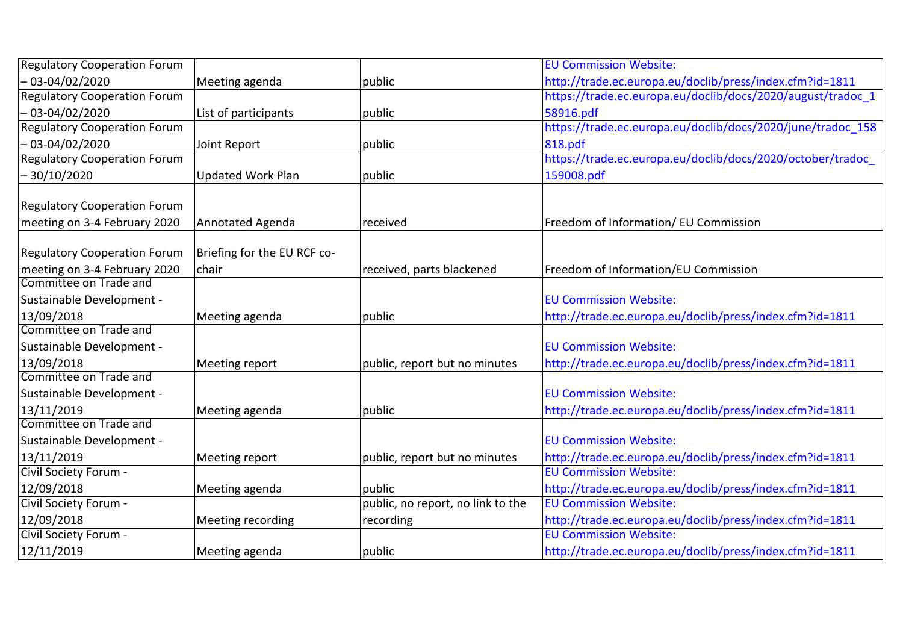| <b>Regulatory Cooperation Forum</b> |                             |                                   | <b>EU Commission Website:</b>                               |
|-------------------------------------|-----------------------------|-----------------------------------|-------------------------------------------------------------|
| - 03-04/02/2020                     | Meeting agenda              | public                            | http://trade.ec.europa.eu/doclib/press/index.cfm?id=1811    |
| <b>Regulatory Cooperation Forum</b> |                             |                                   | https://trade.ec.europa.eu/doclib/docs/2020/august/tradoc 1 |
| $-03 - 04/02/2020$                  | List of participants        | public                            | 58916.pdf                                                   |
| <b>Regulatory Cooperation Forum</b> |                             |                                   | https://trade.ec.europa.eu/doclib/docs/2020/june/tradoc 158 |
| - 03-04/02/2020                     | Joint Report                | public                            | 818.pdf                                                     |
| <b>Regulatory Cooperation Forum</b> |                             |                                   | https://trade.ec.europa.eu/doclib/docs/2020/october/tradoc  |
| -30/10/2020                         | <b>Updated Work Plan</b>    | public                            | 159008.pdf                                                  |
| <b>Regulatory Cooperation Forum</b> |                             |                                   |                                                             |
| meeting on 3-4 February 2020        | Annotated Agenda            | received                          | Freedom of Information/ EU Commission                       |
|                                     |                             |                                   |                                                             |
| <b>Regulatory Cooperation Forum</b> | Briefing for the EU RCF co- |                                   |                                                             |
| meeting on 3-4 February 2020        | chair                       | received, parts blackened         | Freedom of Information/EU Commission                        |
| Committee on Trade and              |                             |                                   |                                                             |
| Sustainable Development -           |                             |                                   | <b>EU Commission Website:</b>                               |
| 13/09/2018                          | Meeting agenda              | public                            | http://trade.ec.europa.eu/doclib/press/index.cfm?id=1811    |
| Committee on Trade and              |                             |                                   |                                                             |
| Sustainable Development -           |                             |                                   | <b>EU Commission Website:</b>                               |
| 13/09/2018                          | Meeting report              | public, report but no minutes     | http://trade.ec.europa.eu/doclib/press/index.cfm?id=1811    |
| Committee on Trade and              |                             |                                   |                                                             |
| Sustainable Development -           |                             |                                   | <b>EU Commission Website:</b>                               |
| 13/11/2019                          | Meeting agenda              | public                            | http://trade.ec.europa.eu/doclib/press/index.cfm?id=1811    |
| Committee on Trade and              |                             |                                   |                                                             |
| Sustainable Development -           |                             |                                   | <b>EU Commission Website:</b>                               |
| 13/11/2019                          | Meeting report              | public, report but no minutes     | http://trade.ec.europa.eu/doclib/press/index.cfm?id=1811    |
| Civil Society Forum -               |                             |                                   | <b>EU Commission Website:</b>                               |
| 12/09/2018                          | Meeting agenda              | public                            | http://trade.ec.europa.eu/doclib/press/index.cfm?id=1811    |
| Civil Society Forum -               |                             | public, no report, no link to the | <b>EU Commission Website:</b>                               |
| 12/09/2018                          | Meeting recording           | recording                         | http://trade.ec.europa.eu/doclib/press/index.cfm?id=1811    |
| Civil Society Forum -               |                             |                                   | <b>EU Commission Website:</b>                               |
| 12/11/2019                          | Meeting agenda              | public                            | http://trade.ec.europa.eu/doclib/press/index.cfm?id=1811    |